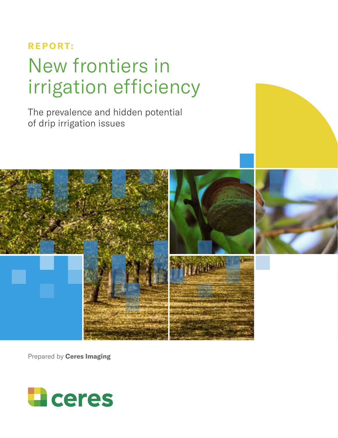# **REPORT:** New frontiers in irrigation efficiency

The prevalence and hidden potential of drip irrigation issues



Prepared by **Ceres Imaging**

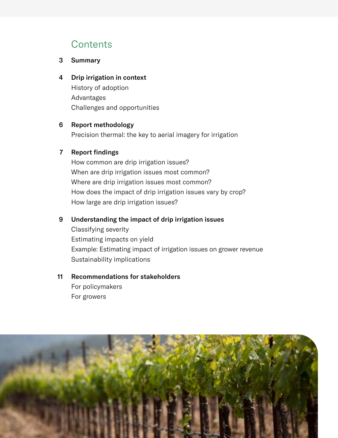## **Contents**

#### Summary 3

4 Drip irrigation in context History of adoption Advantages Challenges and opportunities

#### Report methodology 6

Precision thermal: the key to aerial imagery for irrigation

### 7 Report findings

How common are drip irrigation issues? When are drip irrigation issues most common? Where are drip irrigation issues most common? How does the impact of drip irrigation issues vary by crop? How large are drip irrigation issues?

#### Understanding the impact of drip irrigation issues 9

Classifying severity Estimating impacts on yield Example: Estimating impact of irrigation issues on grower revenue Sustainability implications

#### Recommendations for stakeholders 11

For policymakers For growers

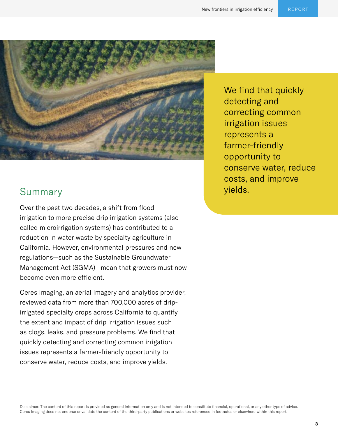

## **Summary**

Over the past two decades, a shift from flood irrigation to more precise drip irrigation systems (also called microirrigation systems) has contributed to a reduction in water waste by specialty agriculture in California. However, environmental pressures and new regulations—such as the Sustainable Groundwater Management Act (SGMA)—mean that growers must now become even more efficient.

Ceres Imaging, an aerial imagery and analytics provider, reviewed data from more than 700,000 acres of dripirrigated specialty crops across California to quantify the extent and impact of drip irrigation issues such as clogs, leaks, and pressure problems. We find that quickly detecting and correcting common irrigation issues represents a farmer-friendly opportunity to conserve water, reduce costs, and improve yields.

We find that quickly detecting and correcting common irrigation issues represents a farmer-friendly opportunity to conserve water, reduce costs, and improve yields.

Disclaimer: The content of this report is provided as general information only and is not intended to constitute financial, operational, or any other type of advice. Ceres Imaging does not endorse or validate the content of the third-party publications or websites referenced in footnotes or elsewhere within this report.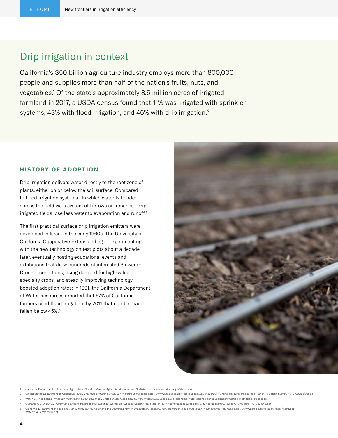### Drip irrigation in context

California's \$50 billion agriculture industry employs more than 800,000 people and supplies more than half of the nation's fruits, nuts, and vegetables.1 Of the state's approximately 8.5 million acres of irrigated farmland in 2017, a USDA census found that 11% was irrigated with sprinkler systems, 43% with flood irrigation, and 46% with drip irrigation.<sup>2</sup>

#### **HISTORY OF ADOPTION**

Drip irrigation delivers water directly to the root zone of plants, either on or below the soil surface. Compared to flood irrigation systems—in which water is flooded across the field via a system of furrows or trenches—dripirrigated fields lose less water to evaporation and runoff.<sup>3</sup>

The first practical surface drip irrigation emitters were developed in Israel in the early 1960s. The University of California Cooperative Extension began experimenting with the new technology on test plots about a decade later, eventually hosting educational events and exhibitions that drew hundreds of interested growers.4 Drought conditions, rising demand for high-value specialty crops, and steadily improving technology boosted adoption rates: in 1991, the California Department of Water Resources reported that 67% of California farmers used flood irrigation; by 2011 that number had fallen below 45%.<sup>5</sup>



- 1. California Department of Food and Agriculture. (2019). *California Agricultural Production Statistics.* https://www.cdfa.ca.gov/statistics/
- 2. United States Department of Agriculture. (2017). Method of water distribution in fields in the open. https://www.nass.usda.gov/Publications/AgCensus/2017/Online\_Resources/Farm\_and\_Ranch\_Irrigation\_Survey/fris\_2\_0028\_002
- 3. Water Science School. *Irrigation methods: A quick look*. (n.d.). United States Geological Survey. https://www.usgs.gov/special-topic/water-science-school/science/irrigation-methods-a-quick look
- 4. Gustafson, C. D. (1979). *History and present trends of drip irrigation*. California Avocado Society Yearbook, 47–49. http://avocadosource.com/CAS\_Yearbooks/CAS\_63\_1979/CAS\_1979\_PG\_047-049.pdf
- 5. California Department of Food and Agriculture. (2014). Water and the California farmer: Productivity, conservation, stewardship and innovation in agricultural water use. https://www.cdfa.ca.gov/drought/docs/FactSheet-<br>W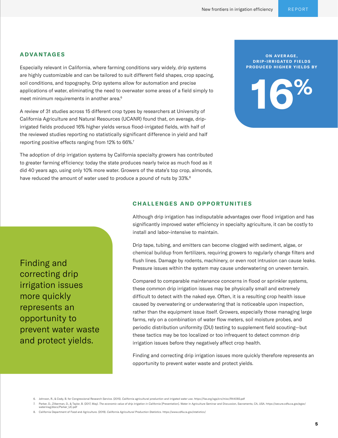#### **ADVANTAGES**

Especially relevant in California, where farming conditions vary widely, drip systems are highly customizable and can be tailored to suit different field shapes, crop spacing, soil conditions, and topography. Drip systems allow for automation and precise applications of water, eliminating the need to overwater some areas of a field simply to meet minimum requirements in another area.<sup>6</sup>

A review of 31 studies across 15 different crop types by researchers at University of California Agriculture and Natural Resources (UCANR) found that, on average, dripirrigated fields produced 16% higher yields versus flood-irrigated fields, with half of the reviewed studies reporting no statistically significant difference in yield and half reporting positive effects ranging from 12% to 66%.<sup>7</sup>

The adoption of drip irrigation systems by California specialty growers has contributed to greater farming efficiency: today the state produces nearly twice as much food as it did 40 years ago, using only 10% more water. Growers of the state's top crop, almonds, have reduced the amount of water used to produce a pound of nuts by 33%.<sup>8</sup>

#### **ON AVERAGE, DRIP-IRRIGATED FIELDS PRODUCED HIGHER YIELDS BY**

**16%**

#### **CHALLENGES AND OPPORTUNITIES**

Although drip irrigation has indisputable advantages over flood irrigation and has significantly improved water efficiency in specialty agriculture, it can be costly to install and labor-intensive to maintain.

Drip tape, tubing, and emitters can become clogged with sediment, algae, or chemical buildup from fertilizers, requiring growers to regularly change filters and flush lines. Damage by rodents, machinery, or even root intrusion can cause leaks. Pressure issues within the system may cause underwatering on uneven terrain.

Compared to comparable maintenance concerns in flood or sprinkler systems, these common drip irrigation issues may be physically small and extremely difficult to detect with the naked eye. Often, it is a resulting crop health issue caused by overwatering or underwatering that is noticeable upon inspection, rather than the equipment issue itself. Growers, especially those managing large farms, rely on a combination of water flow meters, soil moisture probes, and periodic distribution uniformity (DU) testing to supplement field scouting—but these tactics may be too localized or too infrequent to detect common drip irrigation issues before they negatively affect crop health.

Finding and correcting drip irrigation issues more quickly therefore represents an opportunity to prevent water waste and protect yields.

- 7. Parker, D., Zilberman, D., & Taylor, B. (2017, May). The economic value of drip irrigation in California [Presentation]. Water in Agriculture Seminar and Discussion, Sacramento, CA, USA. https://secure.cdfa.ca.gov/egov/ waterinag/docs/Parker\_UC.pdf
- 8. California Department of Food and Agriculture. (2019). *California Agricultural Production Statistics.* https://www.cdfa.ca.gov/statistics/

**5**

Finding and correcting drip irrigation issues more quickly represents an opportunity to prevent water waste and protect yields.

<sup>6.</sup> Johnson, R., & Cody, B. for Congressional Research Service. (2015). *California agricultural production and irrigated water use*. https://fas.org/sgp/crs/misc/R44093.pdf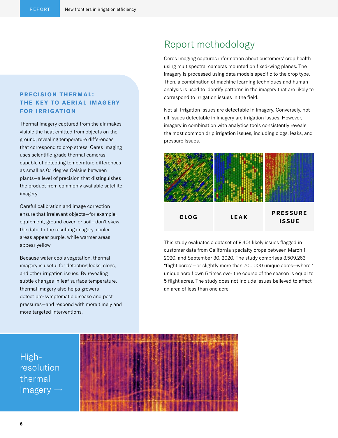### **PRECISION THERMAL: THE KEY TO AERIAL IMAGERY FOR IRRIGATION**

Thermal imagery captured from the air makes visible the heat emitted from objects on the ground, revealing temperature differences that correspond to crop stress. Ceres Imaging uses scientific-grade thermal cameras capable of detecting temperature differences as small as 0.1 degree Celsius between plants—a level of precision that distinguishes the product from commonly available satellite imagery.

Careful calibration and image correction ensure that irrelevant objects—for example, equipment, ground cover, or soil—don't skew the data. In the resulting imagery, cooler areas appear purple, while warmer areas appear yellow.

Because water cools vegetation, thermal imagery is useful for detecting leaks, clogs, and other irrigation issues. By revealing subtle changes in leaf surface temperature, thermal imagery also helps growers detect pre-symptomatic disease and pest pressures—and respond with more timely and more targeted interventions.

### Report methodology

Ceres Imaging captures information about customers' crop health using multispectral cameras mounted on fixed-wing planes. The imagery is processed using data models specific to the crop type. Then, a combination of machine learning techniques and human analysis is used to identify patterns in the imagery that are likely to correspond to irrigation issues in the field.

Not all irrigation issues are detectable in imagery. Conversely, not all issues detectable in imagery are irrigation issues. However, imagery in combination with analytics tools consistently reveals the most common drip irrigation issues, including clogs, leaks, and pressure issues.



This study evaluates a dataset of 9,401 likely issues flagged in customer data from California specialty crops between March 1, 2020, and September 30, 2020. The study comprises 3,509,263 "flight acres"—or slightly more than 700,000 unique acres—where 1 unique acre flown 5 times over the course of the season is equal to 5 flight acres. The study does not include issues believed to affect an area of less than one acre.

Highresolution thermal  $imagery \rightarrow$ 

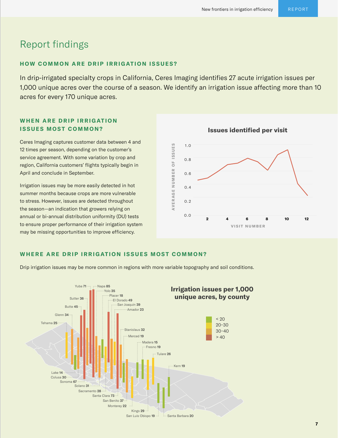## Report findings

#### **HOW COMMON ARE DRIP IRRIGATION ISSUES?**

In drip-irrigated specialty crops in California, Ceres Imaging identifies 27 acute irrigation issues per 1,000 unique acres over the course of a season. We identify an irrigation issue affecting more than 10 acres for every 170 unique acres.

### **WHEN ARE DRIP IRRIGATION ISSUES MOST COMMON?**

Ceres Imaging captures customer data between 4 and 12 times per season, depending on the customer's service agreement. With some variation by crop and region, California customers' flights typically begin in April and conclude in September.

Irrigation issues may be more easily detected in hot summer months because crops are more vulnerable to stress. However, issues are detected throughout the season—an indication that growers relying on annual or bi-annual distribution uniformity (DU) tests to ensure proper performance of their irrigation system may be missing opportunities to improve efficiency.



**Issues identified per visit**

#### **WHERE ARE DRIP IRRIGATION ISSUES MOST COMMON?**

Drip irrigation issues may be more common in regions with more variable topography and soil conditions.



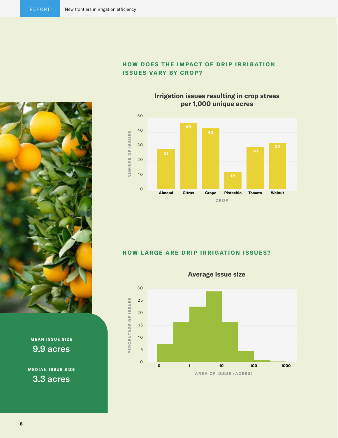

### **HOW DOES THE IMPACT OF DRIP IRRIGATION ISSUES VARY BY CROP?**

**Irrigation issues resulting in crop stress per 1,000 unique acres**



### **HOW LARGE ARE DRIP IRRIGATION ISSUES?**



**MEAN ISSUE SIZE** 9.9 acres

**MEDIAN ISSUE SIZE** 3.3 acres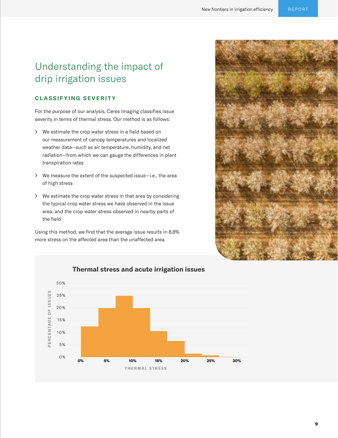## Understanding the impact of drip irrigation issues

#### **CLASSIFYING SEVERITY**

For the purpose of our analysis, Ceres Imaging classifies issue severity in terms of thermal stress. Our method is as follows:

- We estimate the crop water stress in a field based on our measurement of canopy temperatures and localized weather data—such as air temperature, humidity, and net radiation—from which we can gauge the differences in plant transpiration rates
- We measure the extent of the suspected issue—i.e., the area of high stress
- ◆ We estimate the crop water stress in that area by considering the typical crop water stress we have observed in the issue area, and the crop water stress observed in nearby parts of the field

Using this method, we find that the average issue results in 8.8% more stress on the affected area than the unaffected area.





#### **Thermal stress and acute irrigation issues**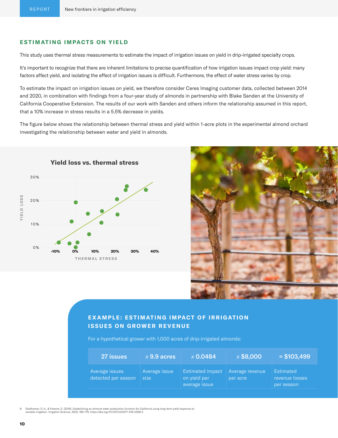#### **ESTIMATING IMPACTS ON YIELD**

This study uses thermal stress measurements to estimate the impact of irrigation issues on yield in drip-irrigated specialty crops.

It's important to recognize that there are inherent limitations to precise quantification of how irrigation issues impact crop yield: many factors affect yield, and isolating the effect of irrigation issues is difficult. Furthermore, the effect of water stress varies by crop.

To estimate the impact on irrigation issues on yield, we therefore consider Ceres Imaging customer data, collected between 2014 and 2020, in combination with findings from a four-year study of almonds in partnership with Blake Sanden at the University of California Cooperative Extension. The results of our work with Sanden and others inform the relationship assumed in this report, that a 10% increase in stress results in a 5.5% decrease in yields.

The figure below shows the relationship between thermal stress and yield within 1-acre plots in the experimental almond orchard investigating the relationship between water and yield in almonds.





### **EXAMPLE: ESTIMATING IMPACT OF IRRIGATION ISSUES ON GROWER REVENUE**

For a hypothetical grower with 1,000 acres of drip-irrigated almonds:

| 27 issues                             | $\times$ 9.9 acres    | $\times$ 0.0484                                          | x\$8,000                    | $= $103,499$                              |
|---------------------------------------|-----------------------|----------------------------------------------------------|-----------------------------|-------------------------------------------|
| Average issues<br>detected per season | Average issue<br>size | <b>Estimated impact</b><br>on yield per<br>average issue | Average revenue<br>per acre | Estimated<br>revenue losses<br>per season |

9. Goldhamer, D. A., & Fereres, E. (2016). Establishing an almond water production function for California using long-term yield response to<br>variable irrigation. Irrigation Science, 35(3), 169–179. https://doi.org/10.1007/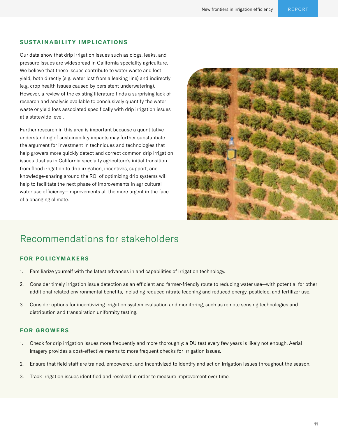#### **SUSTAINABILITY IMPLICATIONS**

Our data show that drip irrigation issues such as clogs, leaks, and pressure issues are widespread in California speciality agriculture. We believe that these issues contribute to water waste and lost yield, both directly (e.g. water lost from a leaking line) and indirectly (e.g. crop health issues caused by persistent underwatering). However, a review of the existing literature finds a surprising lack of research and analysis available to conclusively quantify the water waste or yield loss associated specifically with drip irrigation issues at a statewide level.

Further research in this area is important because a quantitative understanding of sustainability impacts may further substantiate the argument for investment in techniques and technologies that help growers more quickly detect and correct common drip irrigation issues. Just as in California specialty agriculture's initial transition from flood irrigation to drip irrigation, incentives, support, and knowledge-sharing around the ROI of optimizing drip systems will help to facilitate the next phase of improvements in agricultural water use efficiency—improvements all the more urgent in the face of a changing climate.



## Recommendations for stakeholders

#### **FOR POLICYMAKERS**

- 1. Familiarize yourself with the latest advances in and capabilities of irrigation technology.
- 2. Consider timely irrigation issue detection as an efficient and farmer-friendly route to reducing water use—with potential for other additional related environmental benefits, including reduced nitrate leaching and reduced energy, pesticide, and fertilizer use.
- 3. Consider options for incentivizing irrigation system evaluation and monitoring, such as remote sensing technologies and distribution and transpiration uniformity testing.

#### **FOR GROWERS**

- 1. Check for drip irrigation issues more frequently and more thoroughly: a DU test every few years is likely not enough. Aerial imagery provides a cost-effective means to more frequent checks for irrigation issues.
- 2. Ensure that field staff are trained, empowered, and incentivized to identify and act on irrigation issues throughout the season.
- 3. Track irrigation issues identified and resolved in order to measure improvement over time.